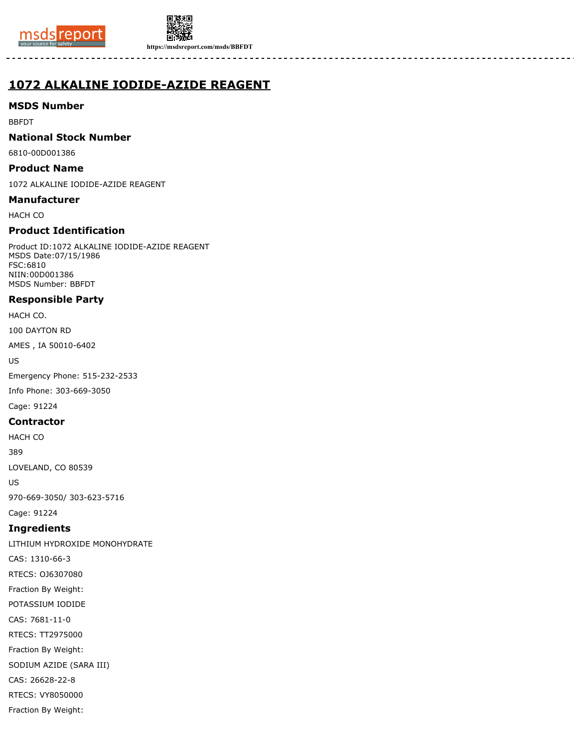



**https://msdsreport.com/msds/BBFDT**

# **1072 ALKALINE IODIDE-AZIDE REAGENT**

# **MSDS Number**

BBFDT

# **National Stock Number**

6810-00D001386

#### **Product Name**

1072 ALKALINE IODIDE-AZIDE REAGENT

#### **Manufacturer**

HACH CO

# **Product Identification**

Product ID:1072 ALKALINE IODIDE-AZIDE REAGENT MSDS Date:07/15/1986 FSC:6810 NIIN:00D001386 MSDS Number: BBFDT

# **Responsible Party**

HACH CO.

100 DAYTON RD

AMES , IA 50010-6402

US

Emergency Phone: 515-232-2533

Info Phone: 303-669-3050

Cage: 91224

# **Contractor**

HACH CO

389

LOVELAND, CO 80539

US

970-669-3050/ 303-623-5716

Cage: 91224

# **Ingredients**

LITHIUM HYDROXIDE MONOHYDRATE CAS: 1310-66-3 RTECS: OJ6307080 Fraction By Weight: POTASSIUM IODIDE CAS: 7681-11-0 RTECS: TT2975000 Fraction By Weight: SODIUM AZIDE (SARA III) CAS: 26628-22-8 RTECS: VY8050000 Fraction By Weight: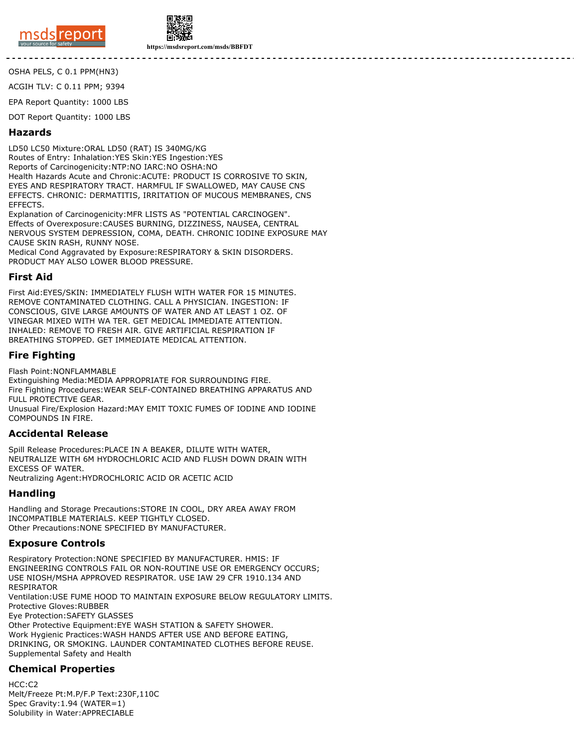



**https://msdsreport.com/msds/BBFDT**

OSHA PELS, C 0.1 PPM(HN3)

ACGIH TLV: C 0.11 PPM; 9394

EPA Report Quantity: 1000 LBS

DOT Report Quantity: 1000 LBS

#### **Hazards**

LD50 LC50 Mixture:ORAL LD50 (RAT) IS 340MG/KG Routes of Entry: Inhalation:YES Skin:YES Ingestion:YES Reports of Carcinogenicity:NTP:NO IARC:NO OSHA:NO Health Hazards Acute and Chronic:ACUTE: PRODUCT IS CORROSIVE TO SKIN, EYES AND RESPIRATORY TRACT. HARMFUL IF SWALLOWED, MAY CAUSE CNS EFFECTS. CHRONIC: DERMATITIS, IRRITATION OF MUCOUS MEMBRANES, CNS EFFECTS.

Explanation of Carcinogenicity:MFR LISTS AS "POTENTIAL CARCINOGEN". Effects of Overexposure:CAUSES BURNING, DIZZINESS, NAUSEA, CENTRAL NERVOUS SYSTEM DEPRESSION, COMA, DEATH. CHRONIC IODINE EXPOSURE MAY CAUSE SKIN RASH, RUNNY NOSE.

Medical Cond Aggravated by Exposure:RESPIRATORY & SKIN DISORDERS. PRODUCT MAY ALSO LOWER BLOOD PRESSURE.

#### **First Aid**

First Aid:EYES/SKIN: IMMEDIATELY FLUSH WITH WATER FOR 15 MINUTES. REMOVE CONTAMINATED CLOTHING. CALL A PHYSICIAN. INGESTION: IF CONSCIOUS, GIVE LARGE AMOUNTS OF WATER AND AT LEAST 1 OZ. OF VINEGAR MIXED WITH WA TER. GET MEDICAL IMMEDIATE ATTENTION. INHALED: REMOVE TO FRESH AIR. GIVE ARTIFICIAL RESPIRATION IF BREATHING STOPPED. GET IMMEDIATE MEDICAL ATTENTION.

# **Fire Fighting**

Flash Point:NONFLAMMABLE

Extinguishing Media:MEDIA APPROPRIATE FOR SURROUNDING FIRE. Fire Fighting Procedures:WEAR SELF-CONTAINED BREATHING APPARATUS AND FULL PROTECTIVE GEAR. Unusual Fire/Explosion Hazard:MAY EMIT TOXIC FUMES OF IODINE AND IODINE COMPOUNDS IN FIRE.

#### **Accidental Release**

Spill Release Procedures:PLACE IN A BEAKER, DILUTE WITH WATER, NEUTRALIZE WITH 6M HYDROCHLORIC ACID AND FLUSH DOWN DRAIN WITH EXCESS OF WATER. Neutralizing Agent:HYDROCHLORIC ACID OR ACETIC ACID

# **Handling**

Handling and Storage Precautions:STORE IN COOL, DRY AREA AWAY FROM INCOMPATIBLE MATERIALS. KEEP TIGHTLY CLOSED. Other Precautions:NONE SPECIFIED BY MANUFACTURER.

#### **Exposure Controls**

Respiratory Protection:NONE SPECIFIED BY MANUFACTURER. HMIS: IF ENGINEERING CONTROLS FAIL OR NON-ROUTINE USE OR EMERGENCY OCCURS; USE NIOSH/MSHA APPROVED RESPIRATOR. USE IAW 29 CFR 1910.134 AND RESPIRATOR Ventilation:USE FUME HOOD TO MAINTAIN EXPOSURE BELOW REGULATORY LIMITS. Protective Gloves:RUBBER Eye Protection:SAFETY GLASSES Other Protective Equipment:EYE WASH STATION & SAFETY SHOWER. Work Hygienic Practices:WASH HANDS AFTER USE AND BEFORE EATING, DRINKING, OR SMOKING. LAUNDER CONTAMINATED CLOTHES BEFORE REUSE. Supplemental Safety and Health

#### **Chemical Properties**

HCC:C2 Melt/Freeze Pt:M.P/F.P Text:230F,110C Spec Gravity:1.94 (WATER=1) Solubility in Water:APPRECIABLE